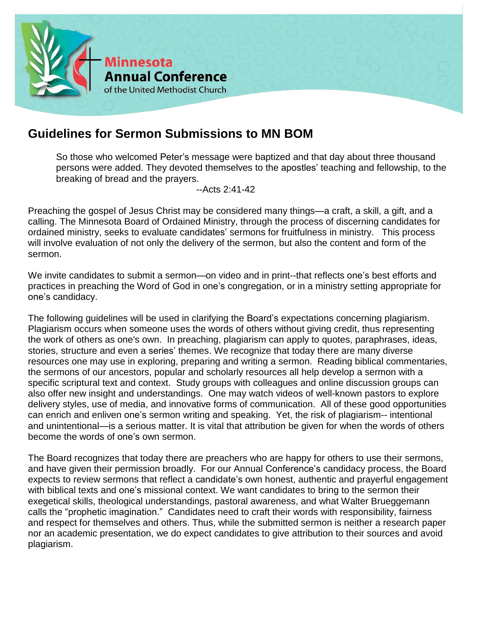

## **Guidelines for Sermon Submissions to MN BOM**

So those who welcomed Peter's message were baptized and that day about three thousand persons were added. They devoted themselves to the apostles' teaching and fellowship, to the breaking of bread and the prayers.

--Acts 2:41-42

Preaching the gospel of Jesus Christ may be considered many things—a craft, a skill, a gift, and a calling. The Minnesota Board of Ordained Ministry, through the process of discerning candidates for ordained ministry, seeks to evaluate candidates' sermons for fruitfulness in ministry. This process will involve evaluation of not only the delivery of the sermon, but also the content and form of the sermon.

We invite candidates to submit a sermon—on video and in print--that reflects one's best efforts and practices in preaching the Word of God in one's congregation, or in a ministry setting appropriate for one's candidacy.

The following guidelines will be used in clarifying the Board's expectations concerning plagiarism. Plagiarism occurs when someone uses the words of others without giving credit, thus representing the work of others as one's own. In preaching, plagiarism can apply to quotes, paraphrases, ideas, stories, structure and even a series' themes. We recognize that today there are many diverse resources one may use in exploring, preparing and writing a sermon. Reading biblical commentaries, the sermons of our ancestors, popular and scholarly resources all help develop a sermon with a specific scriptural text and context. Study groups with colleagues and online discussion groups can also offer new insight and understandings. One may watch videos of well-known pastors to explore delivery styles, use of media, and innovative forms of communication. All of these good opportunities can enrich and enliven one's sermon writing and speaking. Yet, the risk of plagiarism-- intentional and unintentional—is a serious matter. It is vital that attribution be given for when the words of others become the words of one's own sermon.

The Board recognizes that today there are preachers who are happy for others to use their sermons, and have given their permission broadly. For our Annual Conference's candidacy process, the Board expects to review sermons that reflect a candidate's own honest, authentic and prayerful engagement with biblical texts and one's missional context. We want candidates to bring to the sermon their exegetical skills, theological understandings, pastoral awareness, and what Walter Brueggemann calls the "prophetic imagination." Candidates need to craft their words with responsibility, fairness and respect for themselves and others. Thus, while the submitted sermon is neither a research paper nor an academic presentation, we do expect candidates to give attribution to their sources and avoid plagiarism.